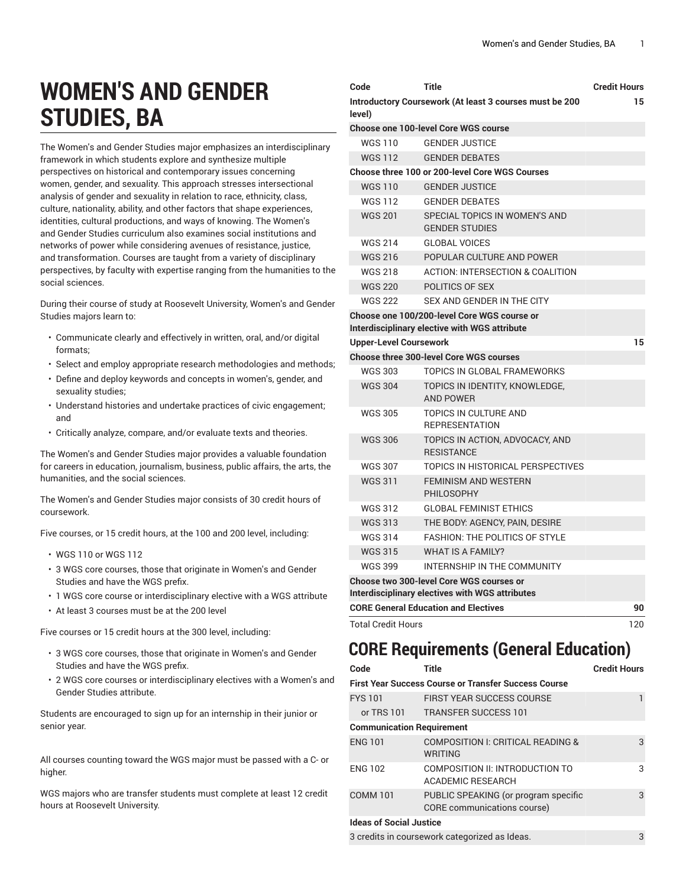## **WOMEN'S AND GENDER STUDIES, BA**

The Women's and Gender Studies major emphasizes an interdisciplinary framework in which students explore and synthesize multiple perspectives on historical and contemporary issues concerning women, gender, and sexuality. This approach stresses intersectional analysis of gender and sexuality in relation to race, ethnicity, class, culture, nationality, ability, and other factors that shape experiences, identities, cultural productions, and ways of knowing. The Women's and Gender Studies curriculum also examines social institutions and networks of power while considering avenues of resistance, justice, and transformation. Courses are taught from a variety of disciplinary perspectives, by faculty with expertise ranging from the humanities to the social sciences.

During their course of study at Roosevelt University, Women's and Gender Studies majors learn to:

- Communicate clearly and effectively in written, oral, and/or digital formats;
- Select and employ appropriate research methodologies and methods;
- Define and deploy keywords and concepts in women's, gender, and sexuality studies;
- Understand histories and undertake practices of civic engagement; and
- Critically analyze, compare, and/or evaluate texts and theories.

The Women's and Gender Studies major provides a valuable foundation for careers in education, journalism, business, public affairs, the arts, the humanities, and the social sciences.

The Women's and Gender Studies major consists of 30 credit hours of coursework.

Five courses, or 15 credit hours, at the 100 and 200 level, including:

- WGS 110 or WGS 112
- 3 WGS core courses, those that originate in Women's and Gender Studies and have the WGS prefix.
- 1 WGS core course or interdisciplinary elective with a WGS attribute
- At least 3 courses must be at the 200 level

Five courses or 15 credit hours at the 300 level, including:

- 3 WGS core courses, those that originate in Women's and Gender Studies and have the WGS prefix.
- 2 WGS core courses or interdisciplinary electives with a Women's and Gender Studies attribute.

Students are encouraged to sign up for an internship in their junior or senior year.

All courses counting toward the WGS major must be passed with a C- or higher.

WGS majors who are transfer students must complete at least 12 credit hours at Roosevelt University.

| Code                          | Title                                                                                        | <b>Credit Hours</b> |
|-------------------------------|----------------------------------------------------------------------------------------------|---------------------|
| level)                        | Introductory Coursework (At least 3 courses must be 200                                      | 15                  |
|                               | <b>Choose one 100-level Core WGS course</b>                                                  |                     |
| WGS 110                       | <b>GENDER JUSTICE</b>                                                                        |                     |
| <b>WGS 112</b>                | <b>GENDER DEBATES</b>                                                                        |                     |
|                               | <b>Choose three 100 or 200-level Core WGS Courses</b>                                        |                     |
| WGS 110                       | <b>GENDER JUSTICE</b>                                                                        |                     |
| <b>WGS 112</b>                | <b>GENDER DEBATES</b>                                                                        |                     |
| <b>WGS 201</b>                | SPECIAL TOPICS IN WOMEN'S AND<br><b>GENDER STUDIES</b>                                       |                     |
| <b>WGS 214</b>                | <b>GLOBAL VOICES</b>                                                                         |                     |
| <b>WGS 216</b>                | POPULAR CULTURE AND POWER                                                                    |                     |
| <b>WGS 218</b>                | ACTION: INTERSECTION & COALITION                                                             |                     |
| <b>WGS 220</b>                | POLITICS OF SEX                                                                              |                     |
| <b>WGS 222</b>                | SEX AND GENDER IN THE CITY                                                                   |                     |
|                               | Choose one 100/200-level Core WGS course or<br>Interdisciplinary elective with WGS attribute |                     |
| <b>Upper-Level Coursework</b> |                                                                                              | 15                  |
|                               | <b>Choose three 300-level Core WGS courses</b>                                               |                     |
| <b>WGS 303</b>                | TOPICS IN GLOBAL FRAMEWORKS                                                                  |                     |
| <b>WGS 304</b>                | TOPICS IN IDENTITY, KNOWLEDGE,<br><b>AND POWER</b>                                           |                     |
| <b>WGS 305</b>                | TOPICS IN CULTURE AND<br><b>REPRESENTATION</b>                                               |                     |
| <b>WGS 306</b>                | TOPICS IN ACTION, ADVOCACY, AND<br><b>RESISTANCE</b>                                         |                     |
| <b>WGS 307</b>                | TOPICS IN HISTORICAL PERSPECTIVES                                                            |                     |
| <b>WGS 311</b>                | <b>FEMINISM AND WESTERN</b><br><b>PHILOSOPHY</b>                                             |                     |
| <b>WGS 312</b>                | <b>GLOBAL FEMINIST ETHICS</b>                                                                |                     |
| <b>WGS 313</b>                | THE BODY: AGENCY, PAIN, DESIRE                                                               |                     |
| <b>WGS 314</b>                | <b>FASHION: THE POLITICS OF STYLE</b>                                                        |                     |
| <b>WGS 315</b>                | <b>WHAT IS A FAMILY?</b>                                                                     |                     |
| <b>WGS 399</b>                | INTERNSHIP IN THE COMMUNITY                                                                  |                     |
|                               | <b>Choose two 300-level Core WGS courses or</b>                                              |                     |
|                               | Interdisciplinary electives with WGS attributes                                              |                     |
|                               | <b>CORE General Education and Electives</b>                                                  | 90                  |
| <b>Total Credit Hours</b>     |                                                                                              | 120                 |

## **CORE Requirements (General Education)**

| Code                                                        | Title                                                               | <b>Credit Hours</b> |  |  |  |  |
|-------------------------------------------------------------|---------------------------------------------------------------------|---------------------|--|--|--|--|
| <b>First Year Success Course or Transfer Success Course</b> |                                                                     |                     |  |  |  |  |
| <b>FYS 101</b>                                              | <b>FIRST YEAR SUCCESS COURSE</b>                                    | 1                   |  |  |  |  |
|                                                             | or TRS 101 TRANSFER SUCCESS 101                                     |                     |  |  |  |  |
| <b>Communication Requirement</b>                            |                                                                     |                     |  |  |  |  |
| <b>ENG 101</b>                                              | <b>COMPOSITION I: CRITICAL READING &amp;</b><br><b>WRITING</b>      | 3                   |  |  |  |  |
| <b>ENG 102</b>                                              | COMPOSITION II: INTRODUCTION TO<br><b>ACADEMIC RESEARCH</b>         | 3                   |  |  |  |  |
| <b>COMM 101</b>                                             | PUBLIC SPEAKING (or program specific<br>CORE communications course) | 3                   |  |  |  |  |
| <b>Ideas of Social Justice</b>                              |                                                                     |                     |  |  |  |  |

3 credits in coursework categorized as Ideas. 3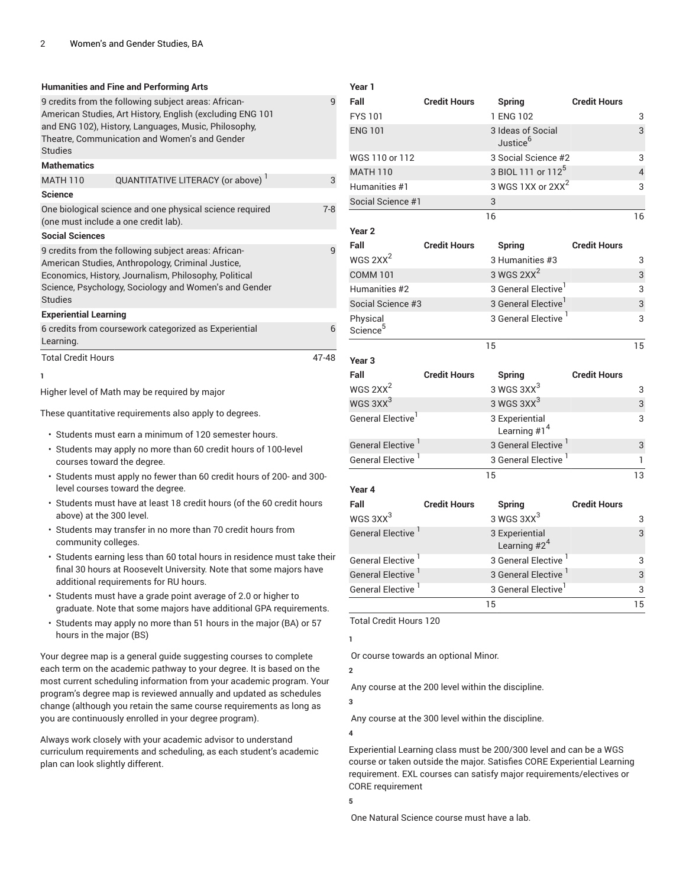| <b>Humanities and Fine and Performing Arts</b>                                                                                                                                                                                                     |                                  |       |  |  |  |  |
|----------------------------------------------------------------------------------------------------------------------------------------------------------------------------------------------------------------------------------------------------|----------------------------------|-------|--|--|--|--|
| 9 credits from the following subject areas: African-<br>American Studies, Art History, English (excluding ENG 101<br>and ENG 102), History, Languages, Music, Philosophy,<br>Theatre, Communication and Women's and Gender<br>Studies              |                                  |       |  |  |  |  |
| <b>Mathematics</b>                                                                                                                                                                                                                                 |                                  |       |  |  |  |  |
| <b>MATH 110</b>                                                                                                                                                                                                                                    | QUANTITATIVE LITERACY (or above) | 3     |  |  |  |  |
| <b>Science</b>                                                                                                                                                                                                                                     |                                  |       |  |  |  |  |
| One biological science and one physical science required<br>(one must include a one credit lab).                                                                                                                                                   |                                  |       |  |  |  |  |
| <b>Social Sciences</b>                                                                                                                                                                                                                             |                                  |       |  |  |  |  |
| 9 credits from the following subject areas: African-<br>q<br>American Studies, Anthropology, Criminal Justice,<br>Economics, History, Journalism, Philosophy, Political<br>Science, Psychology, Sociology and Women's and Gender<br><b>Studies</b> |                                  |       |  |  |  |  |
| <b>Experiential Learning</b>                                                                                                                                                                                                                       |                                  |       |  |  |  |  |
| 6 credits from coursework categorized as Experiential<br>Learning.                                                                                                                                                                                 |                                  |       |  |  |  |  |
| <b>Total Credit Hours</b>                                                                                                                                                                                                                          |                                  | 47-48 |  |  |  |  |
| 1                                                                                                                                                                                                                                                  |                                  |       |  |  |  |  |

Higher level of Math may be required by major

These quantitative requirements also apply to degrees.

• Students must earn a minimum of 120 semester hours.

- Students may apply no more than 60 credit hours of 100-level courses toward the degree.
- Students must apply no fewer than 60 credit hours of 200- and 300 level courses toward the degree.
- Students must have at least 18 credit hours (of the 60 credit hours above) at the 300 level.
- Students may transfer in no more than 70 credit hours from community colleges.
- Students earning less than 60 total hours in residence must take their final 30 hours at Roosevelt University. Note that some majors have additional requirements for RU hours.
- Students must have a grade point average of 2.0 or higher to graduate. Note that some majors have additional GPA requirements.
- Students may apply no more than 51 hours in the major (BA) or 57 hours in the major (BS)

Your degree map is a general guide suggesting courses to complete each term on the academic pathway to your degree. It is based on the most current scheduling information from your academic program. Your program's degree map is reviewed annually and updated as schedules change (although you retain the same course requirements as long as you are continuously enrolled in your degree program).

Always work closely with your academic advisor to understand curriculum requirements and scheduling, as each student's academic plan can look slightly different.

| Year 1                           |                     |                                           |                     |                          |
|----------------------------------|---------------------|-------------------------------------------|---------------------|--------------------------|
| Fall                             | <b>Credit Hours</b> | <b>Spring</b>                             | <b>Credit Hours</b> |                          |
| <b>FYS101</b>                    |                     | 1 ENG 102                                 |                     | 3                        |
| <b>ENG 101</b>                   |                     | 3 Ideas of Social<br>Justice <sup>6</sup> |                     | 3                        |
| WGS 110 or 112                   |                     | 3 Social Science #2                       |                     | 3                        |
| <b>MATH 110</b>                  |                     | 3 BIOL 111 or 112 <sup>5</sup>            |                     | $\overline{\mathcal{L}}$ |
| Humanities #1                    |                     | 3 WGS 1XX or 2XX <sup>2</sup>             |                     | 3                        |
| Social Science #1                |                     | 3                                         |                     |                          |
|                                  |                     | 16                                        |                     | 16                       |
| Year <sub>2</sub>                |                     |                                           |                     |                          |
| Fall                             | <b>Credit Hours</b> | <b>Spring</b>                             | <b>Credit Hours</b> |                          |
| WGS 2XX <sup>2</sup>             |                     | 3 Humanities #3                           |                     | 3                        |
| <b>COMM 101</b>                  |                     | 3 WGS $2XX^2$                             |                     | 3                        |
| Humanities #2                    |                     | 3 General Elective                        |                     | 3                        |
| Social Science #3                |                     | 3 General Elective                        |                     | 3                        |
| Physical<br>Science <sup>5</sup> |                     | 3 General Elective <sup>1</sup>           |                     | 3                        |
|                                  |                     | 15                                        |                     | 15                       |
| Year <sub>3</sub>                |                     |                                           |                     |                          |
| Fall                             | <b>Credit Hours</b> | <b>Spring</b>                             | <b>Credit Hours</b> |                          |
| WGS 2XX <sup>2</sup>             |                     | 3 WGS 3XX <sup>3</sup>                    |                     | 3                        |
| WGS 3XX <sup>3</sup>             |                     | 3 WGS 3XX <sup>3</sup>                    |                     | 3                        |
| General Elective <sup>1</sup>    |                     | 3 Experiential<br>Learning $#14$          |                     | 3                        |
| General Elective <sup>1</sup>    |                     | 3 General Elective '                      |                     | 3                        |
| General Elective <sup>1</sup>    |                     | 3 General Elective <sup>1</sup>           |                     | 1                        |
|                                  |                     | 15                                        |                     | 13                       |
| Year 4                           |                     |                                           |                     |                          |
| Fall                             | <b>Credit Hours</b> | <b>Spring</b>                             | <b>Credit Hours</b> |                          |
| WGS 3XX <sup>3</sup>             |                     | 3 WGS 3XX <sup>3</sup>                    |                     | 3                        |
| General Elective <sup>1</sup>    |                     | 3 Experiential<br>Learning $#24$          |                     | 3                        |
| General Elective <sup>1</sup>    |                     | 3 General Elective <sup>1</sup>           |                     | 3                        |
| General Elective <sup>1</sup>    |                     | 3 General Elective <sup>1</sup>           |                     | 3                        |
| General Elective <sup>1</sup>    |                     | 3 General Elective                        |                     | 3                        |
|                                  |                     | 15                                        |                     | 15                       |

Total Credit Hours 120

**1**

Or course towards an optional Minor.

**2**

Any course at the 200 level within the discipline.

**3** Any course at the 300 level within the discipline. **4**

Experiential Learning class must be 200/300 level and can be a WGS course or taken outside the major. Satisfies CORE Experiential Learning requirement. EXL courses can satisfy major requirements/electives or CORE requirement

**5**

One Natural Science course must have a lab.